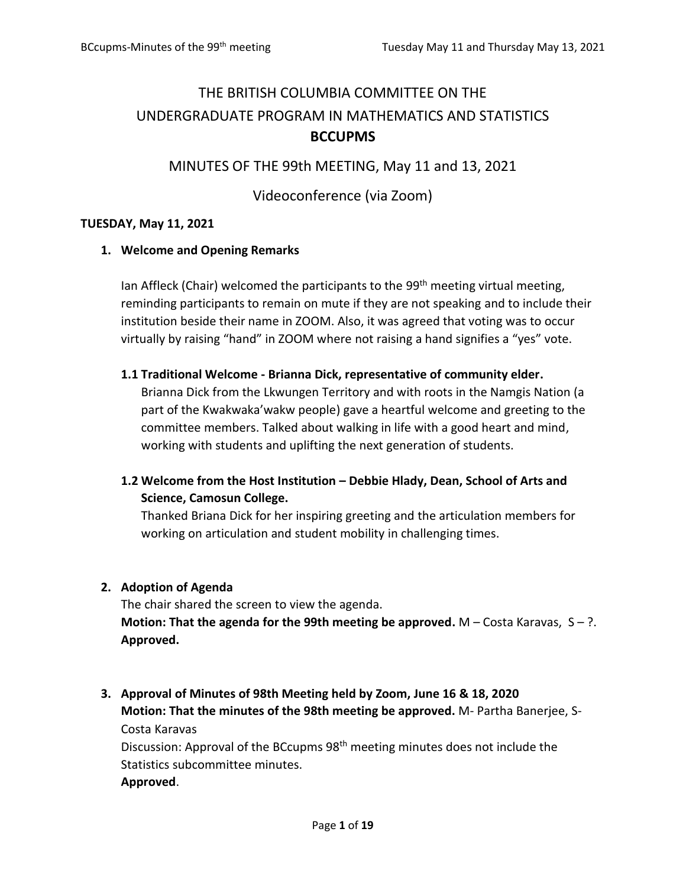# THE BRITISH COLUMBIA COMMITTEE ON THE UNDERGRADUATE PROGRAM IN MATHEMATICS AND STATISTICS **BCCUPMS**

# MINUTES OF THE 99th MEETING, May 11 and 13, 2021

# Videoconference (via Zoom)

## **TUESDAY, May 11, 2021**

## **1. Welcome and Opening Remarks**

Ian Affleck (Chair) welcomed the participants to the  $99<sup>th</sup>$  meeting virtual meeting, reminding participants to remain on mute if they are not speaking and to include their institution beside their name in ZOOM. Also, it was agreed that voting was to occur virtually by raising "hand" in ZOOM where not raising a hand signifies a "yes" vote.

## **1.1 Traditional Welcome - Brianna Dick, representative of community elder.**

Brianna Dick from the Lkwungen Territory and with roots in the Namgis Nation (a part of the Kwakwaka'wakw people) gave a heartful welcome and greeting to the committee members. Talked about walking in life with a good heart and mind, working with students and uplifting the next generation of students.

# **1.2 Welcome from the Host Institution – Debbie Hlady, Dean, School of Arts and Science, Camosun College.**

Thanked Briana Dick for her inspiring greeting and the articulation members for working on articulation and student mobility in challenging times.

# **2. Adoption of Agenda**

The chair shared the screen to view the agenda. **Motion: That the agenda for the 99th meeting be approved.** M – Costa Karavas,  $S - ?$ . **Approved.**

# **3. Approval of Minutes of 98th Meeting held by Zoom, June 16 & 18, 2020 Motion: That the minutes of the 98th meeting be approved.** M- Partha Banerjee, S-Costa Karavas

Discussion: Approval of the BCcupms 98<sup>th</sup> meeting minutes does not include the Statistics subcommittee minutes. **Approved**.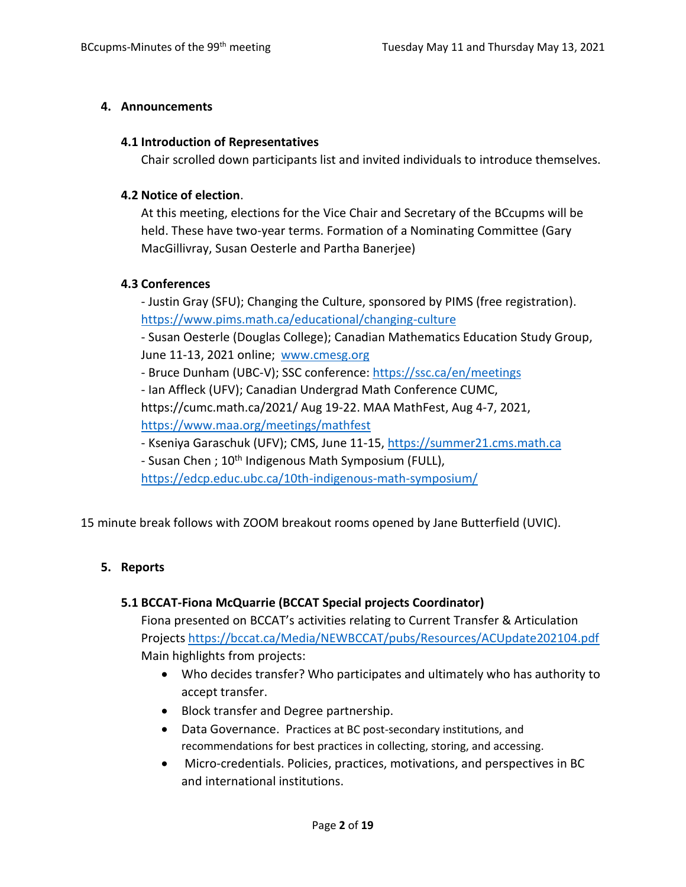## **4. Announcements**

#### **4.1 Introduction of Representatives**

Chair scrolled down participants list and invited individuals to introduce themselves.

## **4.2 Notice of election**.

At this meeting, elections for the Vice Chair and Secretary of the BCcupms will be held. These have two-year terms. Formation of a Nominating Committee (Gary MacGillivray, Susan Oesterle and Partha Banerjee)

## **4.3 Conferences**

- Justin Gray (SFU); Changing the Culture, sponsored by PIMS (free registration). <https://www.pims.math.ca/educational/changing-culture>

- Susan Oesterle (Douglas College); Canadian Mathematics Education Study Group, June 11-13, 2021 online; [www.cmesg.org](http://www.cmesg.org/)

- Bruce Dunham (UBC-V); SSC conference[: https://ssc.ca/en/meetings](https://ssc.ca/en/meetings)

- Ian Affleck (UFV); Canadian Undergrad Math Conference CUMC,

https://cumc.math.ca/2021/ Aug 19-22. MAA MathFest, Aug 4-7, 2021, <https://www.maa.org/meetings/mathfest>

- Kseniya Garaschuk (UFV); CMS, June 11-15, [https://summer21.cms.math.ca](https://summer21.cms.math.ca/)

- Susan Chen; 10<sup>th</sup> Indigenous Math Symposium (FULL),

<https://edcp.educ.ubc.ca/10th-indigenous-math-symposium/>

15 minute break follows with ZOOM breakout rooms opened by Jane Butterfield (UVIC).

# **5. Reports**

# **5.1 BCCAT-Fiona McQuarrie (BCCAT Special projects Coordinator)**

Fiona presented on BCCAT's activities relating to Current Transfer & Articulation Projects <https://bccat.ca/Media/NEWBCCAT/pubs/Resources/ACUpdate202104.pdf> Main highlights from projects:

- Who decides transfer? Who participates and ultimately who has authority to accept transfer.
- Block transfer and Degree partnership.
- Data Governance. Practices at BC post-secondary institutions, and recommendations for best practices in collecting, storing, and accessing.
- Micro-credentials. Policies, practices, motivations, and perspectives in BC and international institutions.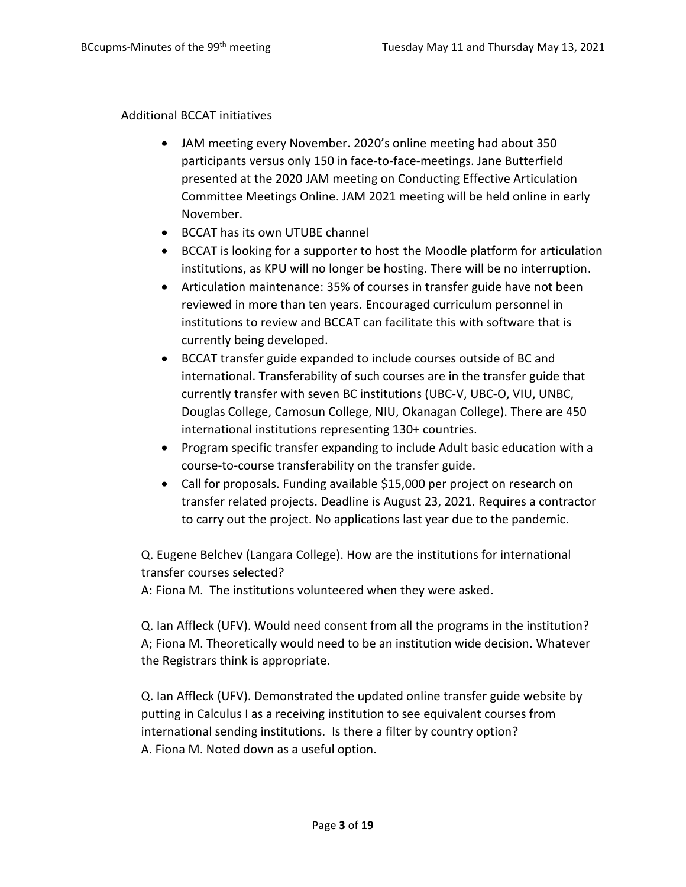#### Additional BCCAT initiatives

- JAM meeting every November. 2020's online meeting had about 350 participants versus only 150 in face-to-face-meetings. Jane Butterfield presented at the 2020 JAM meeting on Conducting Effective Articulation Committee Meetings Online. JAM 2021 meeting will be held online in early November.
- BCCAT has its own UTUBE channel
- BCCAT is looking for a supporter to host the Moodle platform for articulation institutions, as KPU will no longer be hosting. There will be no interruption.
- Articulation maintenance: 35% of courses in transfer guide have not been reviewed in more than ten years. Encouraged curriculum personnel in institutions to review and BCCAT can facilitate this with software that is currently being developed.
- BCCAT transfer guide expanded to include courses outside of BC and international. Transferability of such courses are in the transfer guide that currently transfer with seven BC institutions (UBC-V, UBC-O, VIU, UNBC, Douglas College, Camosun College, NIU, Okanagan College). There are 450 international institutions representing 130+ countries.
- Program specific transfer expanding to include Adult basic education with a course-to-course transferability on the transfer guide.
- Call for proposals. Funding available \$15,000 per project on research on transfer related projects. Deadline is August 23, 2021. Requires a contractor to carry out the project. No applications last year due to the pandemic.

Q. Eugene Belchev (Langara College). How are the institutions for international transfer courses selected?

A: Fiona M. The institutions volunteered when they were asked.

Q. Ian Affleck (UFV). Would need consent from all the programs in the institution? A; Fiona M. Theoretically would need to be an institution wide decision. Whatever the Registrars think is appropriate.

Q. Ian Affleck (UFV). Demonstrated the updated online transfer guide website by putting in Calculus I as a receiving institution to see equivalent courses from international sending institutions. Is there a filter by country option? A. Fiona M. Noted down as a useful option.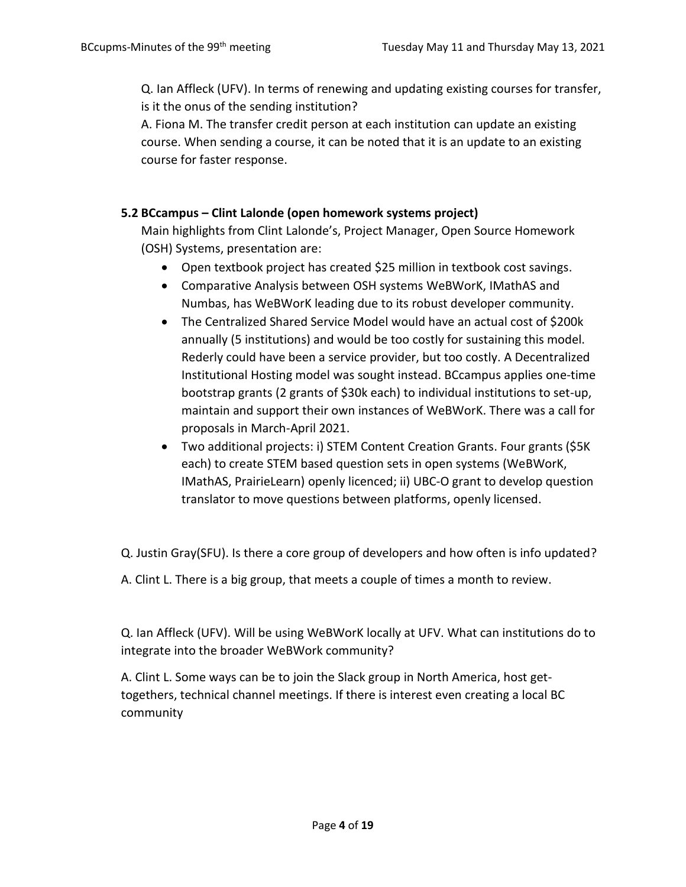Q. Ian Affleck (UFV). In terms of renewing and updating existing courses for transfer, is it the onus of the sending institution?

A. Fiona M. The transfer credit person at each institution can update an existing course. When sending a course, it can be noted that it is an update to an existing course for faster response.

# **5.2 BCcampus – Clint Lalonde (open homework systems project)**

Main highlights from Clint Lalonde's, Project Manager, Open Source Homework (OSH) Systems, presentation are:

- Open textbook project has created \$25 million in textbook cost savings.
- Comparative Analysis between OSH systems WeBWorK, IMathAS and Numbas, has WeBWorK leading due to its robust developer community.
- The Centralized Shared Service Model would have an actual cost of \$200k annually (5 institutions) and would be too costly for sustaining this model. Rederly could have been a service provider, but too costly. A Decentralized Institutional Hosting model was sought instead. BCcampus applies one-time bootstrap grants (2 grants of \$30k each) to individual institutions to set-up, maintain and support their own instances of WeBWorK. There was a call for proposals in March-April 2021.
- Two additional projects: i) STEM Content Creation Grants. Four grants (\$5K each) to create STEM based question sets in open systems (WeBWorK, IMathAS, PrairieLearn) openly licenced; ii) UBC-O grant to develop question translator to move questions between platforms, openly licensed.

Q. Justin Gray(SFU). Is there a core group of developers and how often is info updated?

A. Clint L. There is a big group, that meets a couple of times a month to review.

Q. Ian Affleck (UFV). Will be using WeBWorK locally at UFV. What can institutions do to integrate into the broader WeBWork community?

A. Clint L. Some ways can be to join the Slack group in North America, host gettogethers, technical channel meetings. If there is interest even creating a local BC community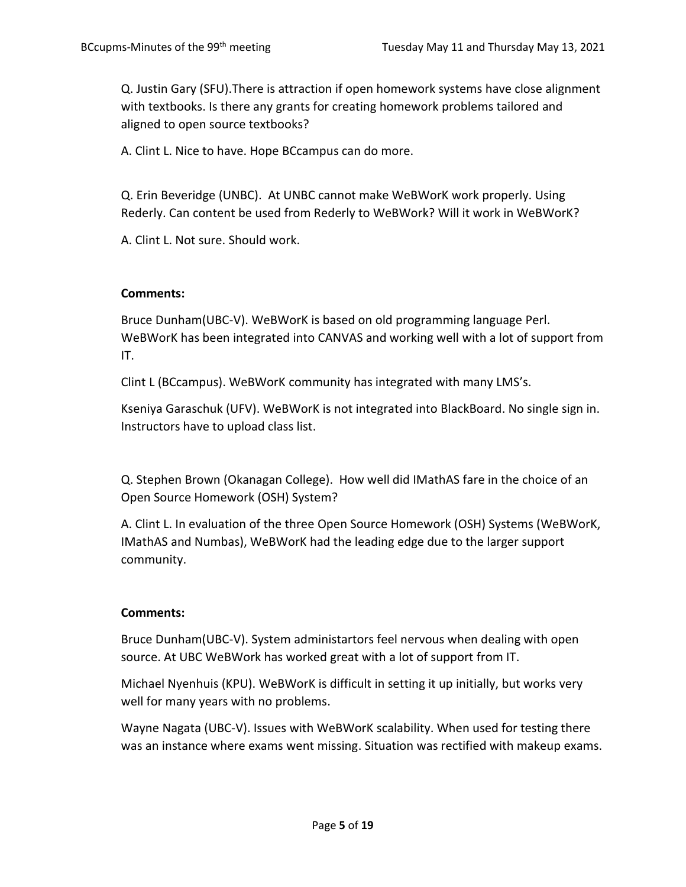Q. Justin Gary (SFU).There is attraction if open homework systems have close alignment with textbooks. Is there any grants for creating homework problems tailored and aligned to open source textbooks?

A. Clint L. Nice to have. Hope BCcampus can do more.

Q. Erin Beveridge (UNBC). At UNBC cannot make WeBWorK work properly. Using Rederly. Can content be used from Rederly to WeBWork? Will it work in WeBWorK?

A. Clint L. Not sure. Should work.

#### **Comments:**

Bruce Dunham(UBC-V). WeBWorK is based on old programming language Perl. WeBWorK has been integrated into CANVAS and working well with a lot of support from IT.

Clint L (BCcampus). WeBWorK community has integrated with many LMS's.

Kseniya Garaschuk (UFV). WeBWorK is not integrated into BlackBoard. No single sign in. Instructors have to upload class list.

Q. Stephen Brown (Okanagan College). How well did IMathAS fare in the choice of an Open Source Homework (OSH) System?

A. Clint L. In evaluation of the three Open Source Homework (OSH) Systems (WeBWorK, IMathAS and Numbas), WeBWorK had the leading edge due to the larger support community.

#### **Comments:**

Bruce Dunham(UBC-V). System administartors feel nervous when dealing with open source. At UBC WeBWork has worked great with a lot of support from IT.

Michael Nyenhuis (KPU). WeBWorK is difficult in setting it up initially, but works very well for many years with no problems.

Wayne Nagata (UBC-V). Issues with WeBWorK scalability. When used for testing there was an instance where exams went missing. Situation was rectified with makeup exams.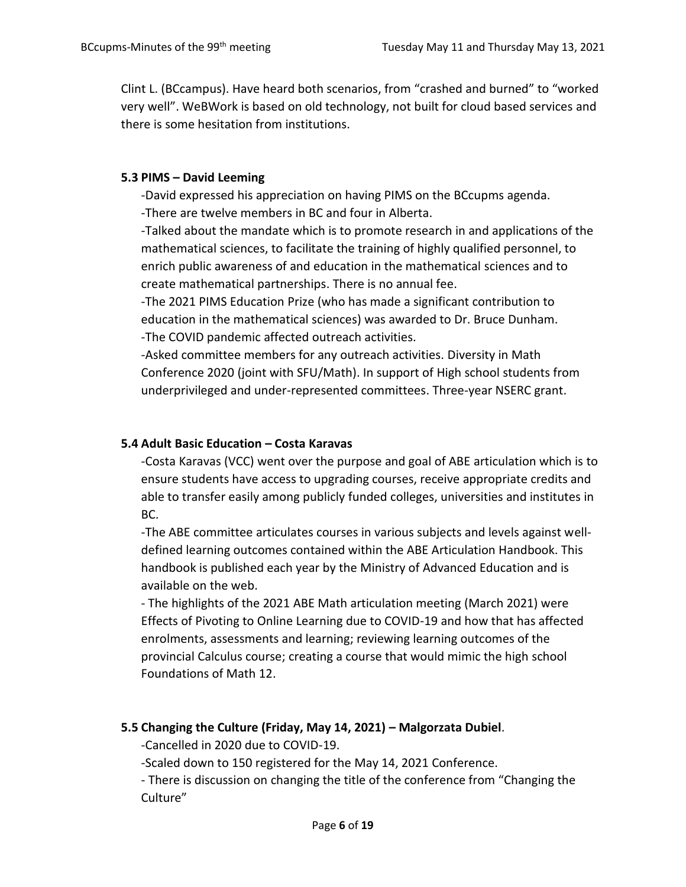Clint L. (BCcampus). Have heard both scenarios, from "crashed and burned" to "worked very well". WeBWork is based on old technology, not built for cloud based services and there is some hesitation from institutions.

## **5.3 PIMS – David Leeming**

-David expressed his appreciation on having PIMS on the BCcupms agenda. -There are twelve members in BC and four in Alberta.

-Talked about the mandate which is to promote research in and applications of the mathematical sciences, to facilitate the training of highly qualified personnel, to enrich public awareness of and education in the mathematical sciences and to create mathematical partnerships. There is no annual fee.

-The 2021 PIMS Education Prize (who has made a significant contribution to education in the mathematical sciences) was awarded to Dr. Bruce Dunham. -The COVID pandemic affected outreach activities.

-Asked committee members for any outreach activities. Diversity in Math Conference 2020 (joint with SFU/Math). In support of High school students from underprivileged and under-represented committees. Three-year NSERC grant.

# **5.4 Adult Basic Education – Costa Karavas**

-Costa Karavas (VCC) went over the purpose and goal of ABE articulation which is to ensure students have access to upgrading courses, receive appropriate credits and able to transfer easily among publicly funded colleges, universities and institutes in BC.

-The ABE committee articulates courses in various subjects and levels against welldefined learning outcomes contained within the ABE Articulation Handbook. This handbook is published each year by the Ministry of Advanced Education and is available on the web.

- The highlights of the 2021 ABE Math articulation meeting (March 2021) were Effects of Pivoting to Online Learning due to COVID-19 and how that has affected enrolments, assessments and learning; reviewing learning outcomes of the provincial Calculus course; creating a course that would mimic the high school Foundations of Math 12.

# **5.5 Changing the Culture (Friday, May 14, 2021) – Malgorzata Dubiel**.

-Cancelled in 2020 due to COVID-19.

-Scaled down to 150 registered for the May 14, 2021 Conference.

- There is discussion on changing the title of the conference from "Changing the Culture"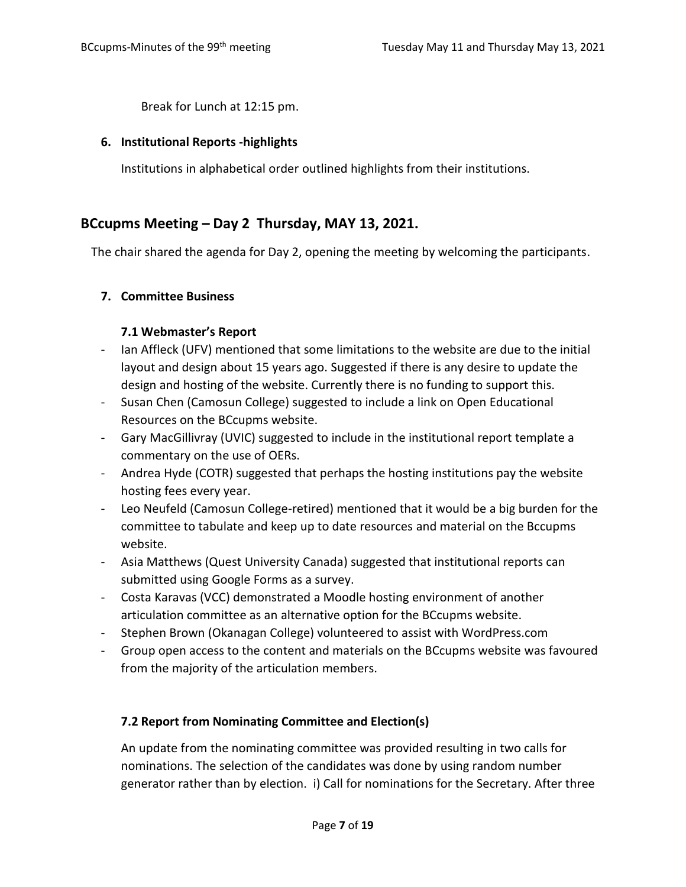Break for Lunch at 12:15 pm.

#### **6. Institutional Reports -highlights**

Institutions in alphabetical order outlined highlights from their institutions.

# **BCcupms Meeting – Day 2 Thursday, MAY 13, 2021.**

The chair shared the agenda for Day 2, opening the meeting by welcoming the participants.

## **7. Committee Business**

## **7.1 Webmaster's Report**

- Ian Affleck (UFV) mentioned that some limitations to the website are due to the initial layout and design about 15 years ago. Suggested if there is any desire to update the design and hosting of the website. Currently there is no funding to support this.
- Susan Chen (Camosun College) suggested to include a link on Open Educational Resources on the BCcupms website.
- Gary MacGillivray (UVIC) suggested to include in the institutional report template a commentary on the use of OERs.
- Andrea Hyde (COTR) suggested that perhaps the hosting institutions pay the website hosting fees every year.
- Leo Neufeld (Camosun College-retired) mentioned that it would be a big burden for the committee to tabulate and keep up to date resources and material on the Bccupms website.
- Asia Matthews (Quest University Canada) suggested that institutional reports can submitted using Google Forms as a survey.
- Costa Karavas (VCC) demonstrated a Moodle hosting environment of another articulation committee as an alternative option for the BCcupms website.
- Stephen Brown (Okanagan College) volunteered to assist with WordPress.com
- Group open access to the content and materials on the BCcupms website was favoured from the majority of the articulation members.

#### **7.2 Report from Nominating Committee and Election(s)**

An update from the nominating committee was provided resulting in two calls for nominations. The selection of the candidates was done by using random number generator rather than by election. i) Call for nominations for the Secretary. After three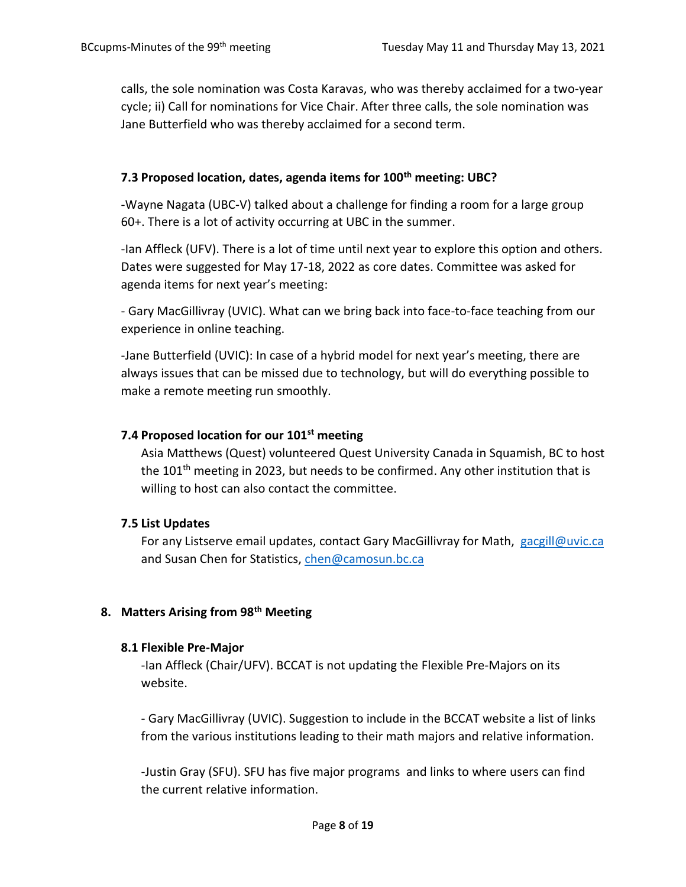calls, the sole nomination was Costa Karavas, who was thereby acclaimed for a two-year cycle; ii) Call for nominations for Vice Chair. After three calls, the sole nomination was Jane Butterfield who was thereby acclaimed for a second term.

## **7.3 Proposed location, dates, agenda items for 100th meeting: UBC?**

-Wayne Nagata (UBC-V) talked about a challenge for finding a room for a large group 60+. There is a lot of activity occurring at UBC in the summer.

-Ian Affleck (UFV). There is a lot of time until next year to explore this option and others. Dates were suggested for May 17-18, 2022 as core dates. Committee was asked for agenda items for next year's meeting:

- Gary MacGillivray (UVIC). What can we bring back into face-to-face teaching from our experience in online teaching.

-Jane Butterfield (UVIC): In case of a hybrid model for next year's meeting, there are always issues that can be missed due to technology, but will do everything possible to make a remote meeting run smoothly.

## **7.4 Proposed location for our 101st meeting**

Asia Matthews (Quest) volunteered Quest University Canada in Squamish, BC to host the 101<sup>th</sup> meeting in 2023, but needs to be confirmed. Any other institution that is willing to host can also contact the committee.

#### **7.5 List Updates**

For any Listserve email updates, contact Gary MacGillivray for Math, [gacgill@uvic.ca](mailto:gacgill@uvic.ca) and Susan Chen for Statistics, [chen@camosun.bc.ca](mailto:chen@camosun.bc.ca)

# **8. Matters Arising from 98th Meeting**

#### **8.1 Flexible Pre-Major**

-Ian Affleck (Chair/UFV). BCCAT is not updating the Flexible Pre-Majors on its website.

- Gary MacGillivray (UVIC). Suggestion to include in the BCCAT website a list of links from the various institutions leading to their math majors and relative information.

-Justin Gray (SFU). SFU has five major programs and links to where users can find the current relative information.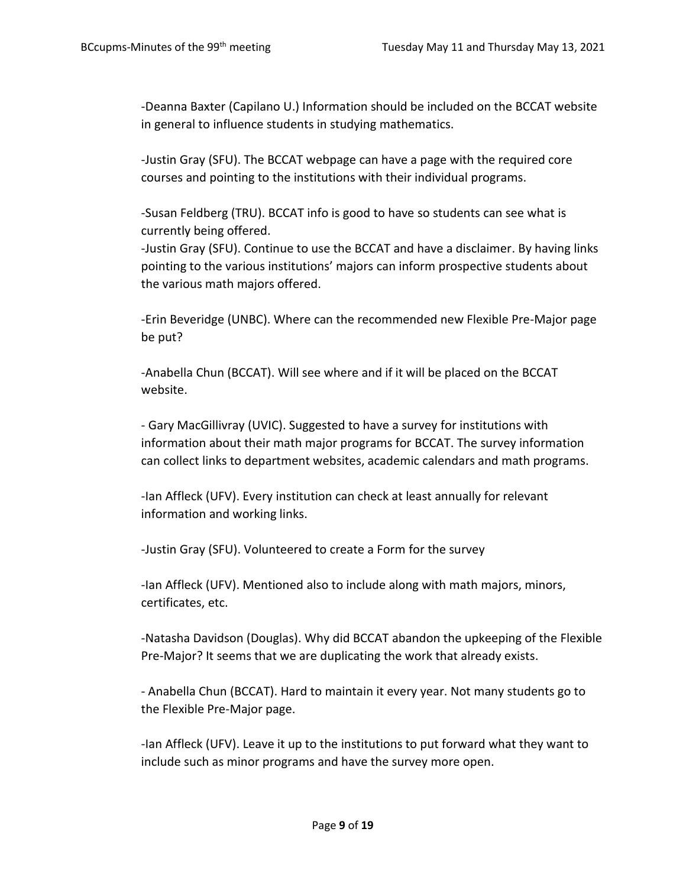-Deanna Baxter (Capilano U.) Information should be included on the BCCAT website in general to influence students in studying mathematics.

-Justin Gray (SFU). The BCCAT webpage can have a page with the required core courses and pointing to the institutions with their individual programs.

-Susan Feldberg (TRU). BCCAT info is good to have so students can see what is currently being offered.

-Justin Gray (SFU). Continue to use the BCCAT and have a disclaimer. By having links pointing to the various institutions' majors can inform prospective students about the various math majors offered.

-Erin Beveridge (UNBC). Where can the recommended new Flexible Pre-Major page be put?

-Anabella Chun (BCCAT). Will see where and if it will be placed on the BCCAT website.

- Gary MacGillivray (UVIC). Suggested to have a survey for institutions with information about their math major programs for BCCAT. The survey information can collect links to department websites, academic calendars and math programs.

-Ian Affleck (UFV). Every institution can check at least annually for relevant information and working links.

-Justin Gray (SFU). Volunteered to create a Form for the survey

-Ian Affleck (UFV). Mentioned also to include along with math majors, minors, certificates, etc.

-Natasha Davidson (Douglas). Why did BCCAT abandon the upkeeping of the Flexible Pre-Major? It seems that we are duplicating the work that already exists.

- Anabella Chun (BCCAT). Hard to maintain it every year. Not many students go to the Flexible Pre-Major page.

-Ian Affleck (UFV). Leave it up to the institutions to put forward what they want to include such as minor programs and have the survey more open.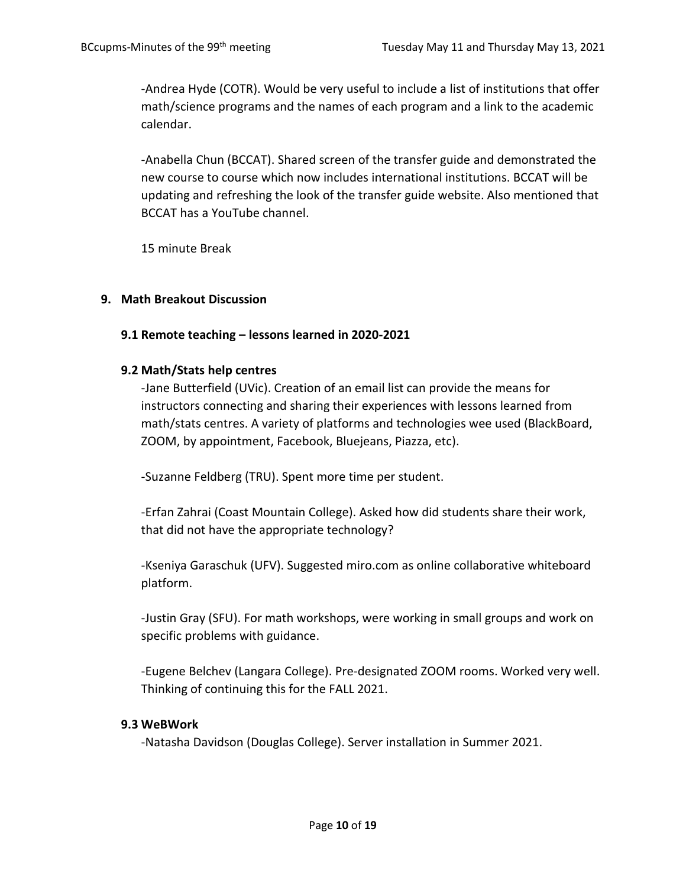-Andrea Hyde (COTR). Would be very useful to include a list of institutions that offer math/science programs and the names of each program and a link to the academic calendar.

-Anabella Chun (BCCAT). Shared screen of the transfer guide and demonstrated the new course to course which now includes international institutions. BCCAT will be updating and refreshing the look of the transfer guide website. Also mentioned that BCCAT has a YouTube channel.

15 minute Break

## **9. Math Breakout Discussion**

## **9.1 Remote teaching – lessons learned in 2020-2021**

#### **9.2 Math/Stats help centres**

-Jane Butterfield (UVic). Creation of an email list can provide the means for instructors connecting and sharing their experiences with lessons learned from math/stats centres. A variety of platforms and technologies wee used (BlackBoard, ZOOM, by appointment, Facebook, Bluejeans, Piazza, etc).

-Suzanne Feldberg (TRU). Spent more time per student.

-Erfan Zahrai (Coast Mountain College). Asked how did students share their work, that did not have the appropriate technology?

-Kseniya Garaschuk (UFV). Suggested miro.com as online collaborative whiteboard platform.

-Justin Gray (SFU). For math workshops, were working in small groups and work on specific problems with guidance.

-Eugene Belchev (Langara College). Pre-designated ZOOM rooms. Worked very well. Thinking of continuing this for the FALL 2021.

#### **9.3 WeBWork**

-Natasha Davidson (Douglas College). Server installation in Summer 2021.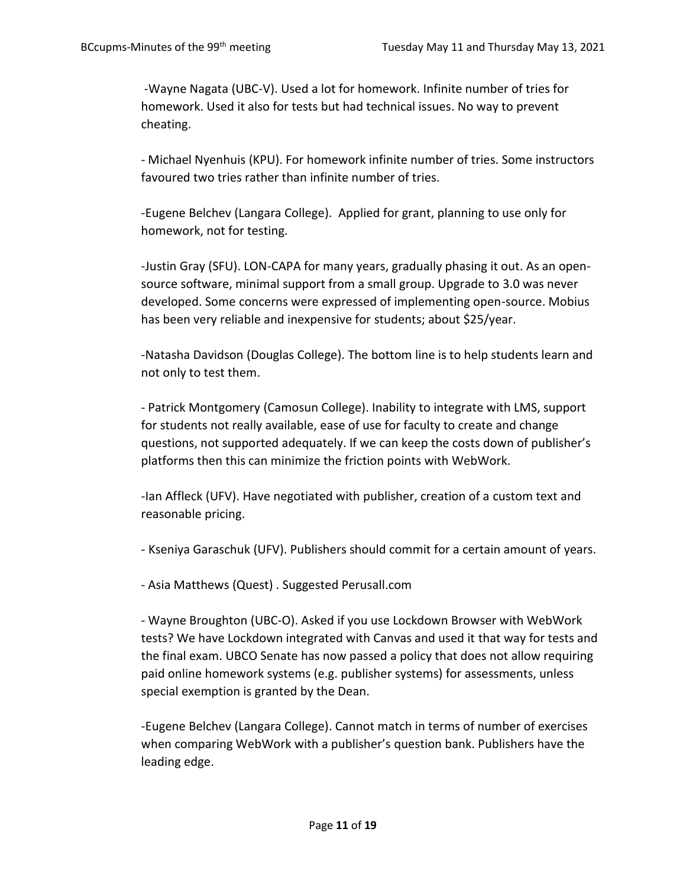-Wayne Nagata (UBC-V). Used a lot for homework. Infinite number of tries for homework. Used it also for tests but had technical issues. No way to prevent cheating.

- Michael Nyenhuis (KPU). For homework infinite number of tries. Some instructors favoured two tries rather than infinite number of tries.

-Eugene Belchev (Langara College). Applied for grant, planning to use only for homework, not for testing.

-Justin Gray (SFU). LON-CAPA for many years, gradually phasing it out. As an opensource software, minimal support from a small group. Upgrade to 3.0 was never developed. Some concerns were expressed of implementing open-source. Mobius has been very reliable and inexpensive for students; about \$25/year.

-Natasha Davidson (Douglas College). The bottom line is to help students learn and not only to test them.

- Patrick Montgomery (Camosun College). Inability to integrate with LMS, support for students not really available, ease of use for faculty to create and change questions, not supported adequately. If we can keep the costs down of publisher's platforms then this can minimize the friction points with WebWork.

-Ian Affleck (UFV). Have negotiated with publisher, creation of a custom text and reasonable pricing.

- Kseniya Garaschuk (UFV). Publishers should commit for a certain amount of years.

- Asia Matthews (Quest) . Suggested Perusall.com

- Wayne Broughton (UBC-O). Asked if you use Lockdown Browser with WebWork tests? We have Lockdown integrated with Canvas and used it that way for tests and the final exam. UBCO Senate has now passed a policy that does not allow requiring paid online homework systems (e.g. publisher systems) for assessments, unless special exemption is granted by the Dean.

-Eugene Belchev (Langara College). Cannot match in terms of number of exercises when comparing WebWork with a publisher's question bank. Publishers have the leading edge.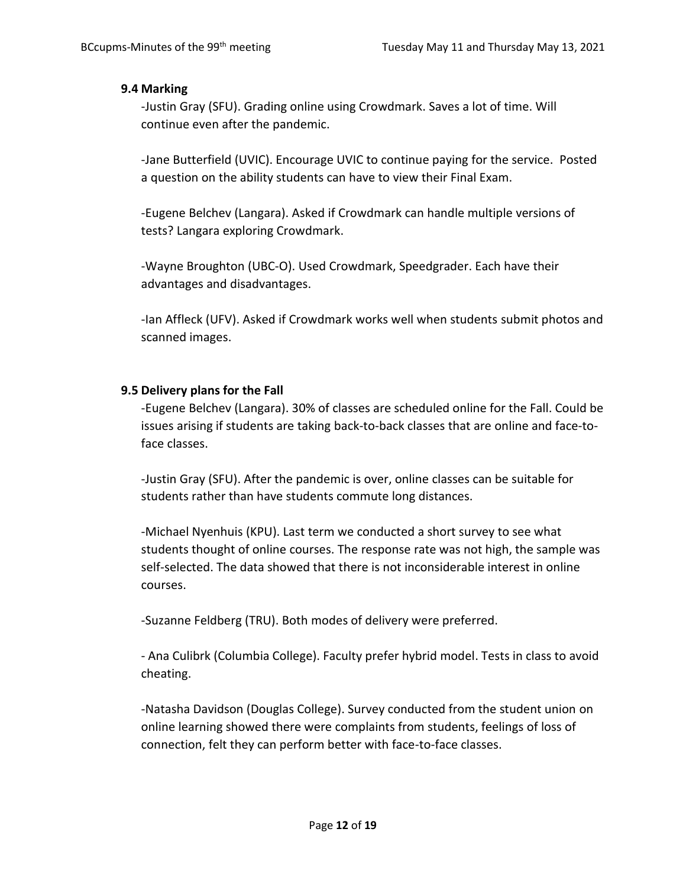#### **9.4 Marking**

-Justin Gray (SFU). Grading online using Crowdmark. Saves a lot of time. Will continue even after the pandemic.

-Jane Butterfield (UVIC). Encourage UVIC to continue paying for the service. Posted a question on the ability students can have to view their Final Exam.

-Eugene Belchev (Langara). Asked if Crowdmark can handle multiple versions of tests? Langara exploring Crowdmark.

-Wayne Broughton (UBC-O). Used Crowdmark, Speedgrader. Each have their advantages and disadvantages.

-Ian Affleck (UFV). Asked if Crowdmark works well when students submit photos and scanned images.

## **9.5 Delivery plans for the Fall**

-Eugene Belchev (Langara). 30% of classes are scheduled online for the Fall. Could be issues arising if students are taking back-to-back classes that are online and face-toface classes.

-Justin Gray (SFU). After the pandemic is over, online classes can be suitable for students rather than have students commute long distances.

-Michael Nyenhuis (KPU). Last term we conducted a short survey to see what students thought of online courses. The response rate was not high, the sample was self-selected. The data showed that there is not inconsiderable interest in online courses.

-Suzanne Feldberg (TRU). Both modes of delivery were preferred.

- Ana Culibrk (Columbia College). Faculty prefer hybrid model. Tests in class to avoid cheating.

-Natasha Davidson (Douglas College). Survey conducted from the student union on online learning showed there were complaints from students, feelings of loss of connection, felt they can perform better with face-to-face classes.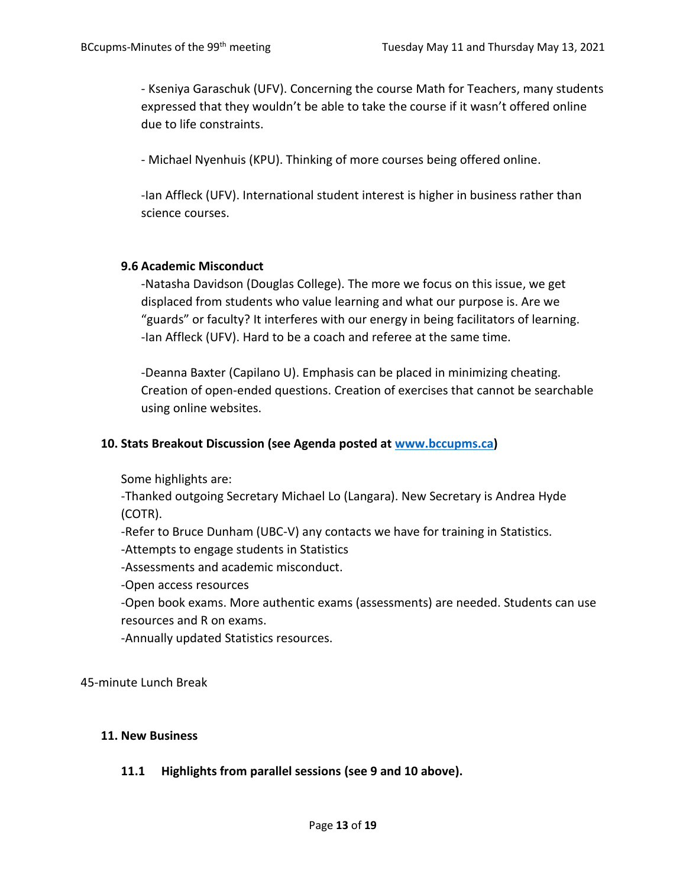- Kseniya Garaschuk (UFV). Concerning the course Math for Teachers, many students expressed that they wouldn't be able to take the course if it wasn't offered online due to life constraints.

- Michael Nyenhuis (KPU). Thinking of more courses being offered online.

-Ian Affleck (UFV). International student interest is higher in business rather than science courses.

#### **9.6 Academic Misconduct**

-Natasha Davidson (Douglas College). The more we focus on this issue, we get displaced from students who value learning and what our purpose is. Are we "guards" or faculty? It interferes with our energy in being facilitators of learning. -Ian Affleck (UFV). Hard to be a coach and referee at the same time.

-Deanna Baxter (Capilano U). Emphasis can be placed in minimizing cheating. Creation of open-ended questions. Creation of exercises that cannot be searchable using online websites.

#### **10. Stats Breakout Discussion (see Agenda posted at [www.bccupms.ca\)](http://www.bccupms.ca/)**

Some highlights are:

-Thanked outgoing Secretary Michael Lo (Langara). New Secretary is Andrea Hyde (COTR).

-Refer to Bruce Dunham (UBC-V) any contacts we have for training in Statistics.

-Attempts to engage students in Statistics

-Assessments and academic misconduct.

-Open access resources

-Open book exams. More authentic exams (assessments) are needed. Students can use resources and R on exams.

-Annually updated Statistics resources.

45-minute Lunch Break

#### **11. New Business**

#### **11.1 Highlights from parallel sessions (see 9 and 10 above).**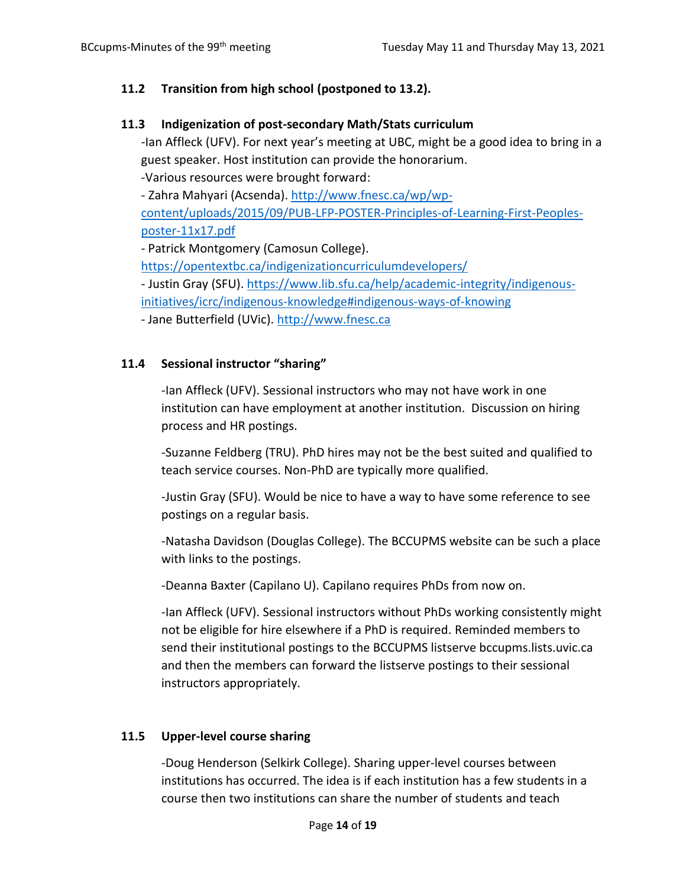# **11.2 Transition from high school (postponed to 13.2).**

## **11.3 Indigenization of post-secondary Math/Stats curriculum**

-Ian Affleck (UFV). For next year's meeting at UBC, might be a good idea to bring in a guest speaker. Host institution can provide the honorarium. -Various resources were brought forward:

- Zahra Mahyari (Acsenda). [http://www.fnesc.ca/wp/wp-](http://www.fnesc.ca/wp/wp-content/uploads/2015/09/PUB-LFP-POSTER-Principles-of-Learning-First-Peoples-poster-11x17.pdf)

[content/uploads/2015/09/PUB-LFP-POSTER-Principles-of-Learning-First-Peoples](http://www.fnesc.ca/wp/wp-content/uploads/2015/09/PUB-LFP-POSTER-Principles-of-Learning-First-Peoples-poster-11x17.pdf)[poster-11x17.pdf](http://www.fnesc.ca/wp/wp-content/uploads/2015/09/PUB-LFP-POSTER-Principles-of-Learning-First-Peoples-poster-11x17.pdf)

- Patrick Montgomery (Camosun College).

<https://opentextbc.ca/indigenizationcurriculumdevelopers/>

- Justin Gray (SFU). [https://www.lib.sfu.ca/help/academic-integrity/indigenous-](https://www.lib.sfu.ca/help/academic-integrity/indigenous-initiatives/icrc/indigenous-knowledge#indigenous-ways-of-knowing)

[initiatives/icrc/indigenous-knowledge#indigenous-ways-of-knowing](https://www.lib.sfu.ca/help/academic-integrity/indigenous-initiatives/icrc/indigenous-knowledge#indigenous-ways-of-knowing)

- Jane Butterfield (UVic). [http://www.fnesc.ca](http://www.fnesc.ca/)

# **11.4 Sessional instructor "sharing"**

-Ian Affleck (UFV). Sessional instructors who may not have work in one institution can have employment at another institution. Discussion on hiring process and HR postings.

-Suzanne Feldberg (TRU). PhD hires may not be the best suited and qualified to teach service courses. Non-PhD are typically more qualified.

-Justin Gray (SFU). Would be nice to have a way to have some reference to see postings on a regular basis.

-Natasha Davidson (Douglas College). The BCCUPMS website can be such a place with links to the postings.

-Deanna Baxter (Capilano U). Capilano requires PhDs from now on.

-Ian Affleck (UFV). Sessional instructors without PhDs working consistently might not be eligible for hire elsewhere if a PhD is required. Reminded members to send their institutional postings to the BCCUPMS listserve bccupms.lists.uvic.ca and then the members can forward the listserve postings to their sessional instructors appropriately.

# **11.5 Upper-level course sharing**

-Doug Henderson (Selkirk College). Sharing upper-level courses between institutions has occurred. The idea is if each institution has a few students in a course then two institutions can share the number of students and teach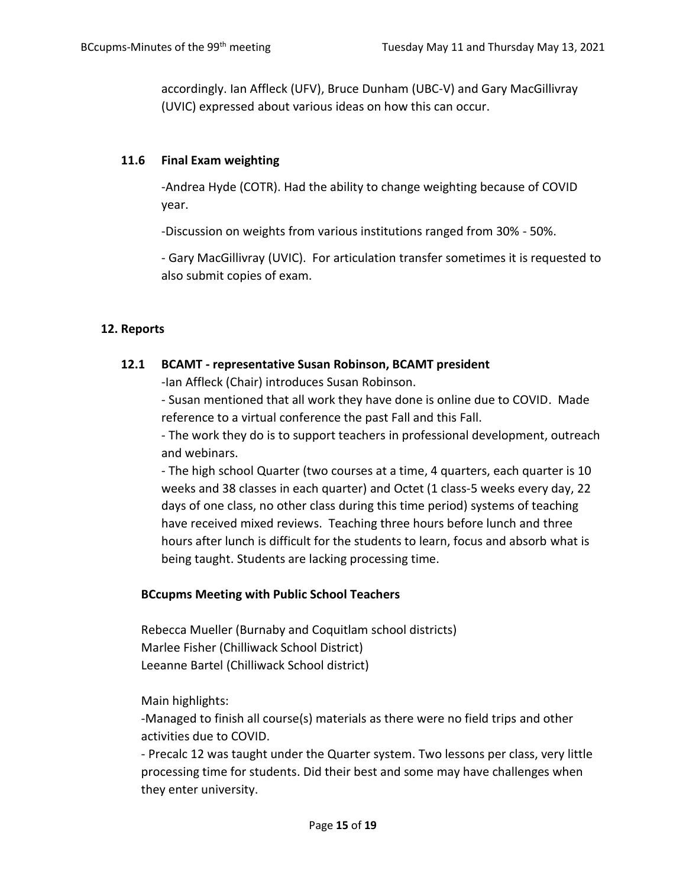accordingly. Ian Affleck (UFV), Bruce Dunham (UBC-V) and Gary MacGillivray (UVIC) expressed about various ideas on how this can occur.

## **11.6 Final Exam weighting**

-Andrea Hyde (COTR). Had the ability to change weighting because of COVID year.

-Discussion on weights from various institutions ranged from 30% - 50%.

- Gary MacGillivray (UVIC). For articulation transfer sometimes it is requested to also submit copies of exam.

# **12. Reports**

## **12.1 BCAMT - representative Susan Robinson, BCAMT president**

-Ian Affleck (Chair) introduces Susan Robinson.

- Susan mentioned that all work they have done is online due to COVID. Made reference to a virtual conference the past Fall and this Fall.

- The work they do is to support teachers in professional development, outreach and webinars.

- The high school Quarter (two courses at a time, 4 quarters, each quarter is 10 weeks and 38 classes in each quarter) and Octet (1 class-5 weeks every day, 22 days of one class, no other class during this time period) systems of teaching have received mixed reviews. Teaching three hours before lunch and three hours after lunch is difficult for the students to learn, focus and absorb what is being taught. Students are lacking processing time.

# **BCcupms Meeting with Public School Teachers**

Rebecca Mueller (Burnaby and Coquitlam school districts) Marlee Fisher (Chilliwack School District) Leeanne Bartel (Chilliwack School district)

Main highlights:

-Managed to finish all course(s) materials as there were no field trips and other activities due to COVID.

- Precalc 12 was taught under the Quarter system. Two lessons per class, very little processing time for students. Did their best and some may have challenges when they enter university.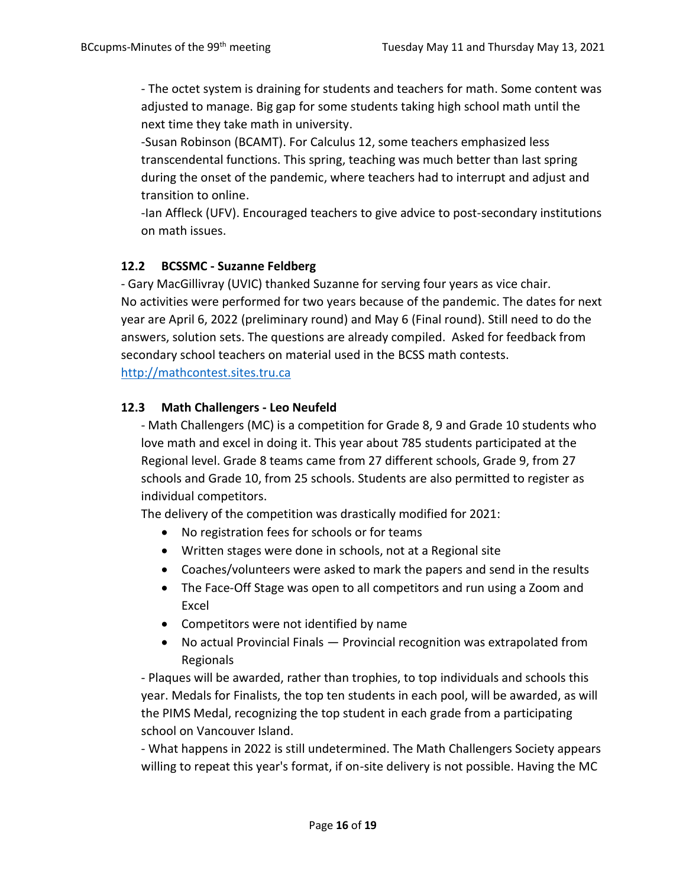- The octet system is draining for students and teachers for math. Some content was adjusted to manage. Big gap for some students taking high school math until the next time they take math in university.

-Susan Robinson (BCAMT). For Calculus 12, some teachers emphasized less transcendental functions. This spring, teaching was much better than last spring during the onset of the pandemic, where teachers had to interrupt and adjust and transition to online.

-Ian Affleck (UFV). Encouraged teachers to give advice to post-secondary institutions on math issues.

# **12.2 BCSSMC - Suzanne Feldberg**

- Gary MacGillivray (UVIC) thanked Suzanne for serving four years as vice chair. No activities were performed for two years because of the pandemic. The dates for next year are April 6, 2022 (preliminary round) and May 6 (Final round). Still need to do the answers, solution sets. The questions are already compiled. Asked for feedback from secondary school teachers on material used in the BCSS math contests. [http://mathcontest.sites.tru.ca](http://mathcontest.sites.tru.ca/)

## **12.3 Math Challengers - Leo Neufeld**

- Math Challengers (MC) is a competition for Grade 8, 9 and Grade 10 students who love math and excel in doing it. This year about 785 students participated at the Regional level. Grade 8 teams came from 27 different schools, Grade 9, from 27 schools and Grade 10, from 25 schools. Students are also permitted to register as individual competitors.

The delivery of the competition was drastically modified for 2021:

- No registration fees for schools or for teams
- Written stages were done in schools, not at a Regional site
- Coaches/volunteers were asked to mark the papers and send in the results
- The Face-Off Stage was open to all competitors and run using a Zoom and Excel
- Competitors were not identified by name
- No actual Provincial Finals Provincial recognition was extrapolated from Regionals

- Plaques will be awarded, rather than trophies, to top individuals and schools this year. Medals for Finalists, the top ten students in each pool, will be awarded, as will the PIMS Medal, recognizing the top student in each grade from a participating school on Vancouver Island.

- What happens in 2022 is still undetermined. The Math Challengers Society appears willing to repeat this year's format, if on-site delivery is not possible. Having the MC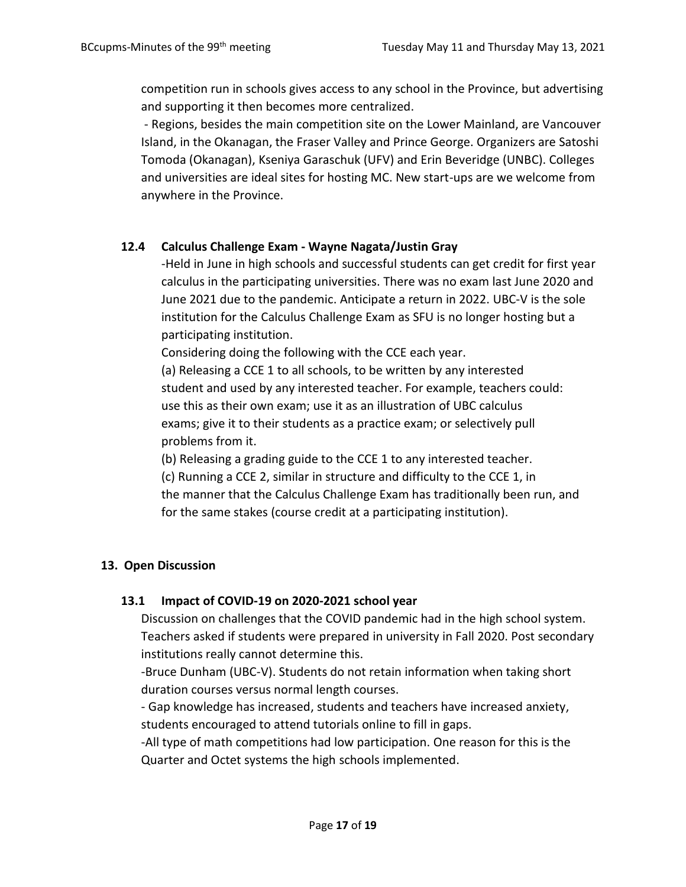competition run in schools gives access to any school in the Province, but advertising and supporting it then becomes more centralized.

- Regions, besides the main competition site on the Lower Mainland, are Vancouver Island, in the Okanagan, the Fraser Valley and Prince George. Organizers are Satoshi Tomoda (Okanagan), Kseniya Garaschuk (UFV) and Erin Beveridge (UNBC). Colleges and universities are ideal sites for hosting MC. New start-ups are we welcome from anywhere in the Province.

## **12.4 Calculus Challenge Exam - Wayne Nagata/Justin Gray**

-Held in June in high schools and successful students can get credit for first year calculus in the participating universities. There was no exam last June 2020 and June 2021 due to the pandemic. Anticipate a return in 2022. UBC-V is the sole institution for the Calculus Challenge Exam as SFU is no longer hosting but a participating institution.

Considering doing the following with the CCE each year.

(a) Releasing a CCE 1 to all schools, to be written by any interested student and used by any interested teacher. For example, teachers could: use this as their own exam; use it as an illustration of UBC calculus exams; give it to their students as a practice exam; or selectively pull problems from it.

(b) Releasing a grading guide to the CCE 1 to any interested teacher. (c) Running a CCE 2, similar in structure and difficulty to the CCE 1, in the manner that the Calculus Challenge Exam has traditionally been run, and for the same stakes (course credit at a participating institution).

#### **13. Open Discussion**

#### **13.1 Impact of COVID-19 on 2020-2021 school year**

Discussion on challenges that the COVID pandemic had in the high school system. Teachers asked if students were prepared in university in Fall 2020. Post secondary institutions really cannot determine this.

-Bruce Dunham (UBC-V). Students do not retain information when taking short duration courses versus normal length courses.

- Gap knowledge has increased, students and teachers have increased anxiety, students encouraged to attend tutorials online to fill in gaps.

-All type of math competitions had low participation. One reason for this is the Quarter and Octet systems the high schools implemented.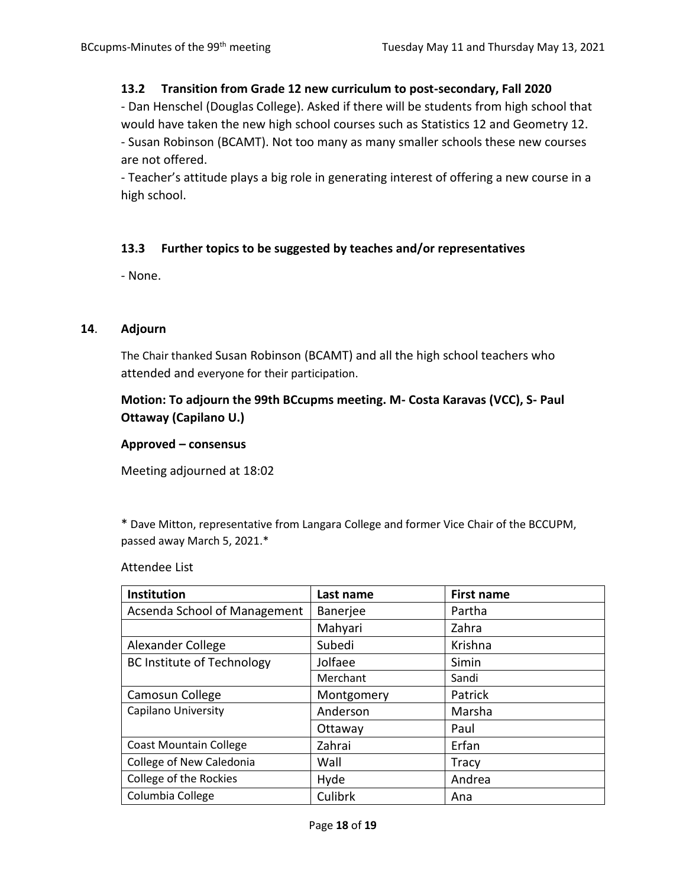#### **13.2 Transition from Grade 12 new curriculum to post-secondary, Fall 2020**

- Dan Henschel (Douglas College). Asked if there will be students from high school that would have taken the new high school courses such as Statistics 12 and Geometry 12. - Susan Robinson (BCAMT). Not too many as many smaller schools these new courses are not offered.

- Teacher's attitude plays a big role in generating interest of offering a new course in a high school.

## **13.3 Further topics to be suggested by teaches and/or representatives**

- None.

#### **14**. **Adjourn**

The Chair thanked Susan Robinson (BCAMT) and all the high school teachers who attended and everyone for their participation.

# **Motion: To adjourn the 99th BCcupms meeting. M- Costa Karavas (VCC), S- Paul Ottaway (Capilano U.)**

#### **Approved – consensus**

Meeting adjourned at 18:02

\* Dave Mitton, representative from Langara College and former Vice Chair of the BCCUPM, passed away March 5, 2021.\*

Attendee List

| Institution                       | Last name       | <b>First name</b> |
|-----------------------------------|-----------------|-------------------|
| Acsenda School of Management      | <b>Banerjee</b> | Partha            |
|                                   | Mahyari         | Zahra             |
| Alexander College                 | Subedi          | Krishna           |
| <b>BC Institute of Technology</b> | Jolfaee         | Simin             |
|                                   | Merchant        | Sandi             |
| Camosun College                   | Montgomery      | Patrick           |
| Capilano University               | Anderson        | Marsha            |
|                                   | Ottaway         | Paul              |
| <b>Coast Mountain College</b>     | Zahrai          | Erfan             |
| College of New Caledonia          | Wall            | <b>Tracy</b>      |
| College of the Rockies            | Hyde            | Andrea            |
| Columbia College                  | Culibrk         | Ana               |